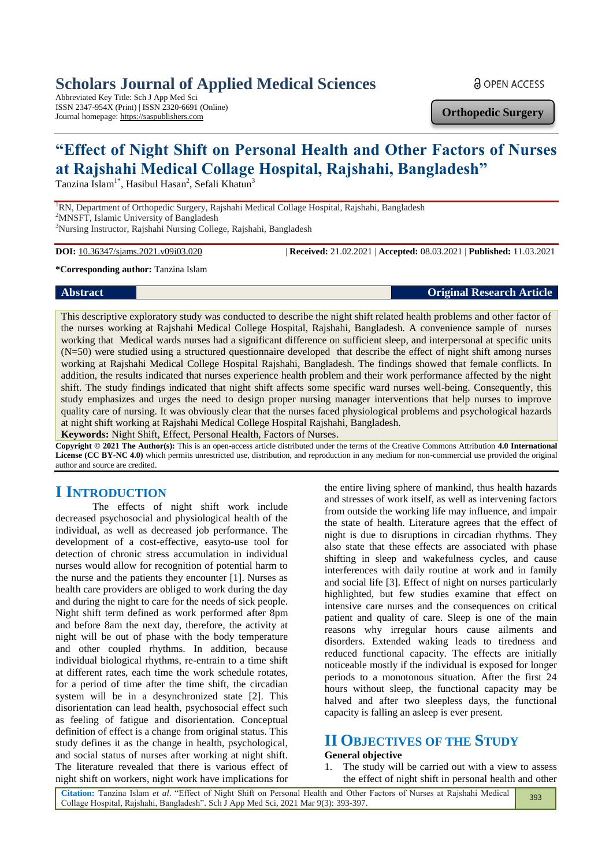## **Scholars Journal of Applied Medical Sciences**

Abbreviated Key Title: Sch J App Med Sci ISSN 2347-954X (Print) | ISSN 2320-6691 (Online) Journal homepage: https://saspublishers.com

**a** OPEN ACCESS

**Orthopedic Surgery**

# **"Effect of Night Shift on Personal Health and Other Factors of Nurses at Rajshahi Medical Collage Hospital, Rajshahi, Bangladesh"**

Tanzina Islam<sup>1\*</sup>, Hasibul Hasan<sup>2</sup>, Sefali Khatun<sup>3</sup>

<sup>1</sup>RN, Department of Orthopedic Surgery, Rajshahi Medical Collage Hospital, Rajshahi, Bangladesh <sup>2</sup>MNSFT, Islamic University of Bangladesh <sup>3</sup>Nursing Instructor, Rajshahi Nursing College, Rajshahi, Bangladesh

**DOI:** 10.36347/sjams.2021.v09i03.020 | **Received:** 21.02.2021 | **Accepted:** 08.03.2021 | **Published:** 11.03.2021

**\*Corresponding author:** Tanzina Islam

#### **Abstract Original Research Article**

This descriptive exploratory study was conducted to describe the night shift related health problems and other factor of the nurses working at Rajshahi Medical College Hospital, Rajshahi, Bangladesh. A convenience sample of nurses working that Medical wards nurses had a significant difference on sufficient sleep, and interpersonal at specific units (N=50) were studied using a structured questionnaire developed that describe the effect of night shift among nurses working at Rajshahi Medical College Hospital Rajshahi, Bangladesh. The findings showed that female conflicts. In addition, the results indicated that nurses experience health problem and their work performance affected by the night shift. The study findings indicated that night shift affects some specific ward nurses well-being. Consequently, this study emphasizes and urges the need to design proper nursing manager interventions that help nurses to improve quality care of nursing. It was obviously clear that the nurses faced physiological problems and psychological hazards at night shift working at Rajshahi Medical College Hospital Rajshahi, Bangladesh.

**Keywords:** Night Shift, Effect, Personal Health, Factors of Nurses.

**Copyright © 2021 The Author(s):** This is an open-access article distributed under the terms of the Creative Commons Attribution **4.0 International**  License (CC BY-NC 4.0) which permits unrestricted use, distribution, and reproduction in any medium for non-commercial use provided the original author and source are credited.

## **I INTRODUCTION**

The effects of night shift work include decreased psychosocial and physiological health of the individual, as well as decreased job performance. The development of a cost-effective, easyto-use tool for detection of chronic stress accumulation in individual nurses would allow for recognition of potential harm to the nurse and the patients they encounter [1]. Nurses as health care providers are obliged to work during the day and during the night to care for the needs of sick people. Night shift term defined as work performed after 8pm and before 8am the next day, therefore, the activity at night will be out of phase with the body temperature and other coupled rhythms. In addition, because individual biological rhythms, re-entrain to a time shift at different rates, each time the work schedule rotates, for a period of time after the time shift, the circadian system will be in a desynchronized state [2]. This disorientation can lead health, psychosocial effect such as feeling of fatigue and disorientation. Conceptual definition of effect is a change from original status. This study defines it as the change in health, psychological, and social status of nurses after working at night shift. The literature revealed that there is various effect of night shift on workers, night work have implications for

the entire living sphere of mankind, thus health hazards and stresses of work itself, as well as intervening factors from outside the working life may influence, and impair the state of health. Literature agrees that the effect of night is due to disruptions in circadian rhythms. They also state that these effects are associated with phase shifting in sleep and wakefulness cycles, and cause interferences with daily routine at work and in family and social life [3]. Effect of night on nurses particularly highlighted, but few studies examine that effect on intensive care nurses and the consequences on critical patient and quality of care. Sleep is one of the main reasons why irregular hours cause ailments and disorders. Extended waking leads to tiredness and reduced functional capacity. The effects are initially noticeable mostly if the individual is exposed for longer periods to a monotonous situation. After the first 24 hours without sleep, the functional capacity may be halved and after two sleepless days, the functional capacity is falling an asleep is ever present.

## **II OBJECTIVES OF THE STUDY**

#### **General objective**

1. The study will be carried out with a view to assess the effect of night shift in personal health and other

**Citation:** Tanzina Islam *et al*. "Effect of Night Shift on Personal Health and Other Factors of Nurses at Rajshahi Medical Collage Hospital, Rajshahi, Bangladesh". Sch J App Med Sci, 2021 Mar 9(3): 393-397. 393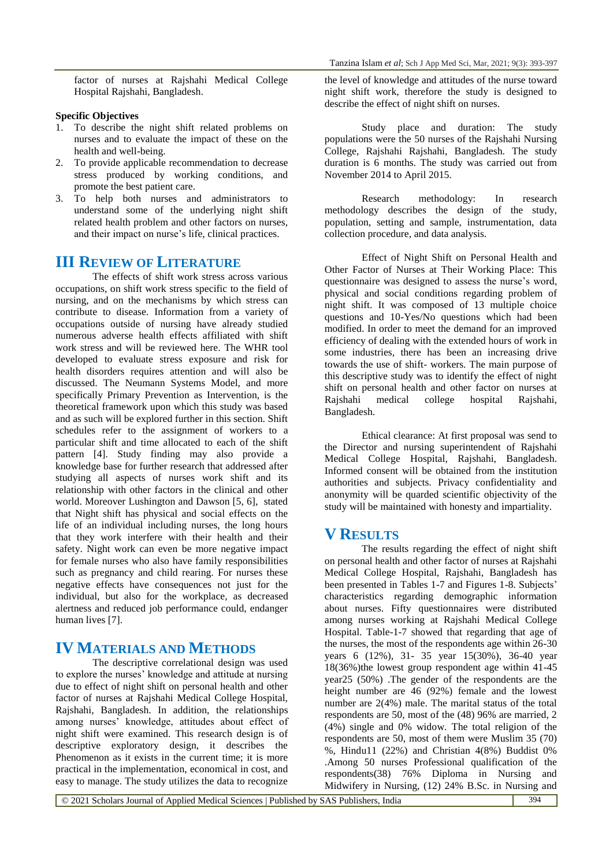factor of nurses at Rajshahi Medical College Hospital Rajshahi, Bangladesh.

#### **Specific Objectives**

- 1. To describe the night shift related problems on nurses and to evaluate the impact of these on the health and well-being.
- 2. To provide applicable recommendation to decrease stress produced by working conditions, and promote the best patient care.
- 3. To help both nurses and administrators to understand some of the underlying night shift related health problem and other factors on nurses, and their impact on nurse's life, clinical practices.

### **III REVIEW OF LITERATURE**

The effects of shift work stress across various occupations, on shift work stress specific to the field of nursing, and on the mechanisms by which stress can contribute to disease. Information from a variety of occupations outside of nursing have already studied numerous adverse health effects affiliated with shift work stress and will be reviewed here. The WHR tool developed to evaluate stress exposure and risk for health disorders requires attention and will also be discussed. The Neumann Systems Model, and more specifically Primary Prevention as Intervention, is the theoretical framework upon which this study was based and as such will be explored further in this section. Shift schedules refer to the assignment of workers to a particular shift and time allocated to each of the shift pattern [4]. Study finding may also provide a knowledge base for further research that addressed after studying all aspects of nurses work shift and its relationship with other factors in the clinical and other world. Moreover Lushington and Dawson [5, 6], stated that Night shift has physical and social effects on the life of an individual including nurses, the long hours that they work interfere with their health and their safety. Night work can even be more negative impact for female nurses who also have family responsibilities such as pregnancy and child rearing. For nurses these negative effects have consequences not just for the individual, but also for the workplace, as decreased alertness and reduced job performance could, endanger human lives [7].

### **IV MATERIALS AND METHODS**

The descriptive correlational design was used to explore the nurses' knowledge and attitude at nursing due to effect of night shift on personal health and other factor of nurses at Rajshahi Medical College Hospital, Rajshahi, Bangladesh. In addition, the relationships among nurses' knowledge, attitudes about effect of night shift were examined. This research design is of descriptive exploratory design, it describes the Phenomenon as it exists in the current time; it is more practical in the implementation, economical in cost, and easy to manage. The study utilizes the data to recognize

the level of knowledge and attitudes of the nurse toward night shift work, therefore the study is designed to describe the effect of night shift on nurses.

Study place and duration: The study populations were the 50 nurses of the Rajshahi Nursing College, Rajshahi Rajshahi, Bangladesh. The study duration is 6 months. The study was carried out from November 2014 to April 2015.

Research methodology: In research methodology describes the design of the study, population, setting and sample, instrumentation, data collection procedure, and data analysis.

Effect of Night Shift on Personal Health and Other Factor of Nurses at Their Working Place: This questionnaire was designed to assess the nurse's word, physical and social conditions regarding problem of night shift. It was composed of 13 multiple choice questions and 10-Yes/No questions which had been modified. In order to meet the demand for an improved efficiency of dealing with the extended hours of work in some industries, there has been an increasing drive towards the use of shift- workers. The main purpose of this descriptive study was to identify the effect of night shift on personal health and other factor on nurses at Rajshahi medical college hospital Rajshahi, Bangladesh.

Ethical clearance: At first proposal was send to the Director and nursing superintendent of Rajshahi Medical College Hospital, Rajshahi, Bangladesh. Informed consent will be obtained from the institution authorities and subjects. Privacy confidentiality and anonymity will be quarded scientific objectivity of the study will be maintained with honesty and impartiality.

#### **V RESULTS**

The results regarding the effect of night shift on personal health and other factor of nurses at Rajshahi Medical College Hospital, Rajshahi, Bangladesh has been presented in Tables 1-7 and Figures 1-8. Subjects' characteristics regarding demographic information about nurses. Fifty questionnaires were distributed among nurses working at Rajshahi Medical College Hospital. Table-1-7 showed that regarding that age of the nurses, the most of the respondents age within 26-30 years 6 (12%), 31- 35 year 15(30%), 36-40 year 18(36%)the lowest group respondent age within 41-45 year25 (50%) .The gender of the respondents are the height number are 46 (92%) female and the lowest number are 2(4%) male. The marital status of the total respondents are 50, most of the (48) 96% are married, 2 (4%) single and 0% widow. The total religion of the respondents are 50, most of them were Muslim 35 (70) %, Hindu11 (22%) and Christian 4(8%) Buddist 0% .Among 50 nurses Professional qualification of the respondents(38) 76% Diploma in Nursing and Midwifery in Nursing, (12) 24% B.Sc. in Nursing and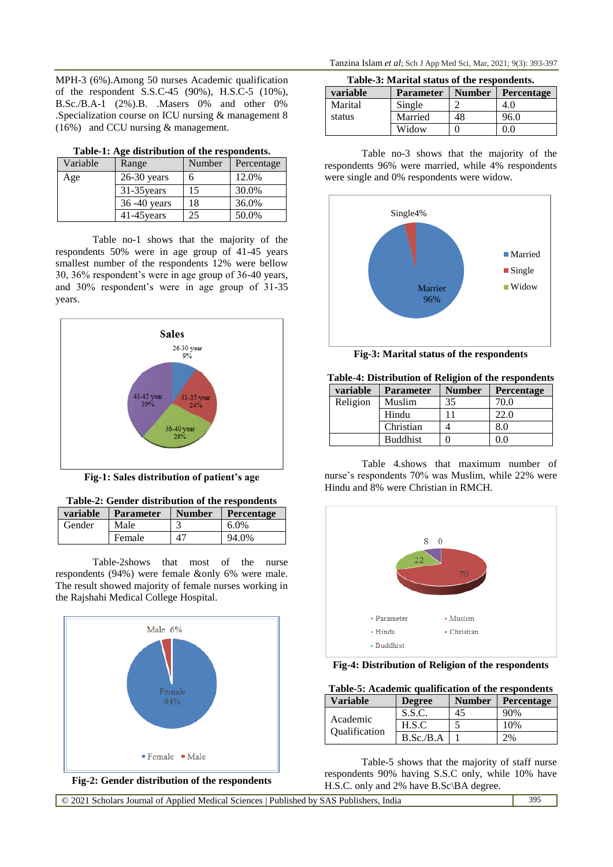MPH-3 (6%).Among 50 nurses Academic qualification of the respondent S.S.C-45 (90%), H.S.C-5 (10%), B.Sc./B.A-1 (2%).B. .Masers 0% and other 0% .Specialization course on ICU nursing & management 8 (16%) and CCU nursing & management.

| Variable | Range           | Number | Percentage |
|----------|-----------------|--------|------------|
| Age      | $26-30$ years   | 6      | 12.0%      |
|          | $31-35$ years   | 15     | 30.0%      |
|          | $36 - 40$ years | 18     | 36.0%      |
|          | $41-45$ years   | 25     | 50.0%      |

**Table-1: Age distribution of the respondents.**

Table no-1 shows that the majority of the respondents 50% were in age group of 41-45 years smallest number of the respondents 12% were bellow 30, 36% respondent's were in age group of 36-40 years, and 30% respondent's were in age group of 31-35 years.



**Fig-1: Sales distribution of patient's age**

| Table-2: Gender distribution of the respondents |                  |               |            |
|-------------------------------------------------|------------------|---------------|------------|
| variable                                        | <b>Parameter</b> | <b>Number</b> | Percentage |
| Gender                                          | Male             | 3             | 6.0%       |
|                                                 | Female           | 47            | 94.0%      |

Table-2shows that most of the nurse respondents (94%) were female &only 6% were male. The result showed majority of female nurses working in the Rajshahi Medical College Hospital.





| Table-3: Marital status of the respondents. |                  |               |            |  |
|---------------------------------------------|------------------|---------------|------------|--|
| variable                                    | <b>Parameter</b> | <b>Number</b> | Percentage |  |
| Marital                                     | Single           |               | 4.0        |  |
| status                                      | Married          | 48            | 96.0       |  |
|                                             | Widow            |               | 0.0        |  |

Table no-3 shows that the majority of the respondents 96% were married, while 4% respondents were single and 0% respondents were widow.



**Fig-3: Marital status of the respondents Table-4: Distribution of Religion of the respondents**

|          | rabic-4. Distribution of includion of the respondents |               |                   |  |
|----------|-------------------------------------------------------|---------------|-------------------|--|
| variable | <b>Parameter</b>                                      | <b>Number</b> | <b>Percentage</b> |  |
| Religion | Muslim                                                | 35            | 70.0              |  |
|          | Hindu                                                 |               | 22.0              |  |
|          | Christian                                             |               | 8.0               |  |
|          | <b>Buddhist</b>                                       |               | 0.0               |  |

Table 4.shows that maximum number of nurse's respondents 70% was Muslim, while 22% were Hindu and 8% were Christian in RMCH.



**Fig-4: Distribution of Religion of the respondents**

**Table-5: Academic qualification of the respondents**

| Variable                         | <b>Degree</b> | <b>Number</b> | <b>Percentage</b> |
|----------------------------------|---------------|---------------|-------------------|
|                                  | S.S.C.        | 45            | 90%               |
| Academic<br><b>Oualification</b> | H.S.C         |               | 10%               |
|                                  | B.Sc.B.A      |               | 2%                |

Table-5 shows that the majority of staff nurse respondents 90% having S.S.C only, while 10% have H.S.C. only and 2% have B.Sc\BA degree.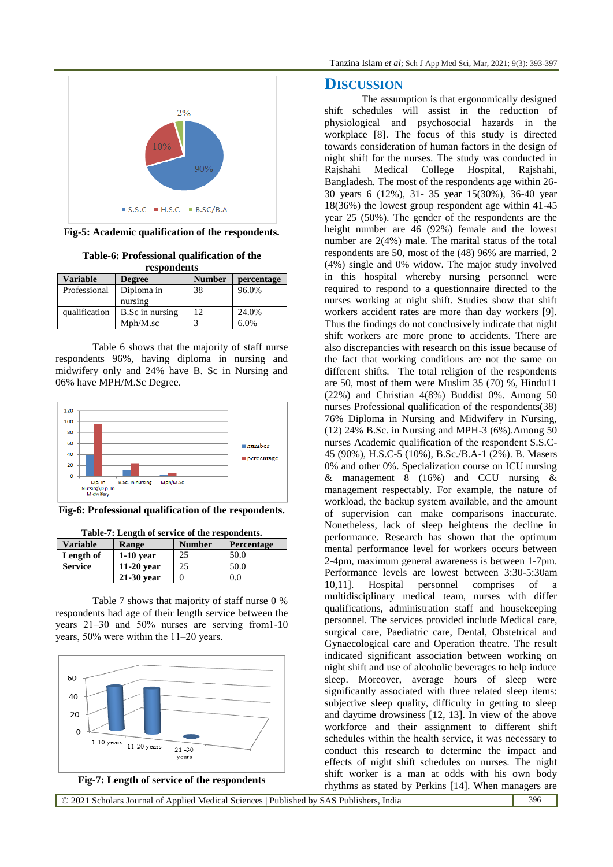

**Fig-5: Academic qualification of the respondents.**

| respondents     |                        |               |            |
|-----------------|------------------------|---------------|------------|
| <b>Variable</b> | <b>Degree</b>          | <b>Number</b> | percentage |
| Professional    | Diploma in<br>nursing  | 38            | 96.0%      |
| qualification   | <b>B.Sc in nursing</b> | 12            | 24.0%      |

**Table-6: Professional qualification of the** 

Table 6 shows that the majority of staff nurse respondents 96%, having diploma in nursing and midwifery only and 24% have B. Sc in Nursing and 06% have MPH/M.Sc Degree.

Mph/M.sc 3 6.0%



**Fig-6: Professional qualification of the respondents.**

| <b>Variable</b> | Range        | <b>Number</b> | <b>Percentage</b> |
|-----------------|--------------|---------------|-------------------|
| Length of       | $1-10$ year  | 25            | 50.0              |
| <b>Service</b>  | $11-20$ year | 25            | 50.0              |
|                 | $21-30$ year |               | 0.0               |

**Table-7: Length of service of the respondents.**

Table 7 shows that majority of staff nurse 0 % respondents had age of their length service between the years 21–30 and 50% nurses are serving from1-10 years,  $50\%$  were within the  $11-20$  years.



#### **DISCUSSION**

The assumption is that ergonomically designed shift schedules will assist in the reduction of physiological and psychosocial hazards in the workplace [8]. The focus of this study is directed towards consideration of human factors in the design of night shift for the nurses. The study was conducted in Rajshahi Medical College Hospital, Rajshahi, Bangladesh. The most of the respondents age within 26- 30 years 6 (12%), 31- 35 year 15(30%), 36-40 year 18(36%) the lowest group respondent age within 41-45 year 25 (50%). The gender of the respondents are the height number are 46 (92%) female and the lowest number are 2(4%) male. The marital status of the total respondents are 50, most of the (48) 96% are married, 2 (4%) single and 0% widow. The major study involved in this hospital whereby nursing personnel were required to respond to a questionnaire directed to the nurses working at night shift. Studies show that shift workers accident rates are more than day workers [9]. Thus the findings do not conclusively indicate that night shift workers are more prone to accidents. There are also discrepancies with research on this issue because of the fact that working conditions are not the same on different shifts. The total religion of the respondents are 50, most of them were Muslim 35 (70) %, Hindu11 (22%) and Christian 4(8%) Buddist 0%. Among 50 nurses Professional qualification of the respondents(38) 76% Diploma in Nursing and Midwifery in Nursing, (12) 24% B.Sc. in Nursing and MPH-3 (6%).Among 50 nurses Academic qualification of the respondent S.S.C-45 (90%), H.S.C-5 (10%), B.Sc./B.A-1 (2%). B. Masers 0% and other 0%. Specialization course on ICU nursing & management  $8$  (16%) and CCU nursing  $\&$ management respectably. For example, the nature of workload, the backup system available, and the amount of supervision can make comparisons inaccurate. Nonetheless, lack of sleep heightens the decline in performance. Research has shown that the optimum mental performance level for workers occurs between 2-4pm, maximum general awareness is between 1-7pm. Performance levels are lowest between 3:30-5:30am 10,11]. Hospital personnel comprises of a multidisciplinary medical team, nurses with differ qualifications, administration staff and housekeeping personnel. The services provided include Medical care, surgical care, Paediatric care, Dental, Obstetrical and Gynaecological care and Operation theatre. The result indicated significant association between working on night shift and use of alcoholic beverages to help induce sleep. Moreover, average hours of sleep were significantly associated with three related sleep items: subjective sleep quality, difficulty in getting to sleep and daytime drowsiness [12, 13]. In view of the above workforce and their assignment to different shift schedules within the health service, it was necessary to conduct this research to determine the impact and effects of night shift schedules on nurses. The night shift worker is a man at odds with his own body rhythms as stated by Perkins [14]. When managers are